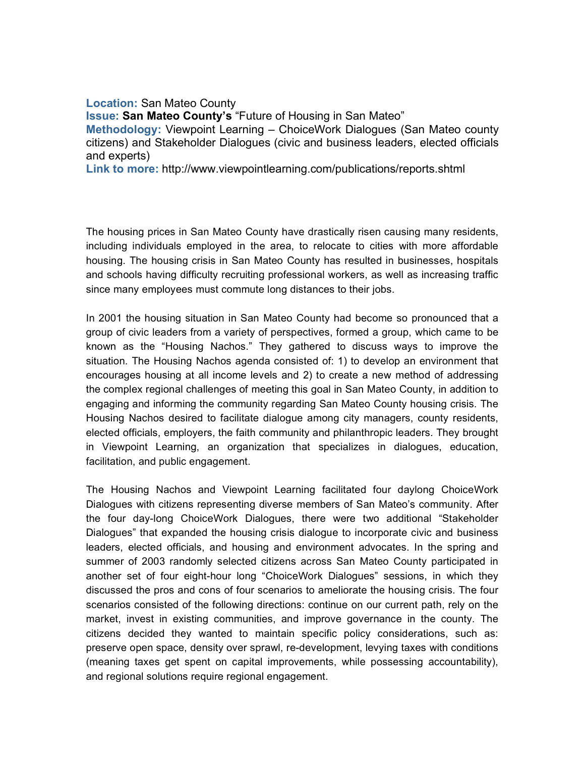**Location:** San Mateo County **Issue: San Mateo County's** "Future of Housing in San Mateo" **Methodology:** Viewpoint Learning – ChoiceWork Dialogues (San Mateo county citizens) and Stakeholder Dialogues (civic and business leaders, elected officials and experts)

**Link to more:** http://www.viewpointlearning.com/publications/reports.shtml

The housing prices in San Mateo County have drastically risen causing many residents, including individuals employed in the area, to relocate to cities with more affordable housing. The housing crisis in San Mateo County has resulted in businesses, hospitals and schools having difficulty recruiting professional workers, as well as increasing traffic since many employees must commute long distances to their jobs.

In 2001 the housing situation in San Mateo County had become so pronounced that a group of civic leaders from a variety of perspectives, formed a group, which came to be known as the "Housing Nachos." They gathered to discuss ways to improve the situation. The Housing Nachos agenda consisted of: 1) to develop an environment that encourages housing at all income levels and 2) to create a new method of addressing the complex regional challenges of meeting this goal in San Mateo County, in addition to engaging and informing the community regarding San Mateo County housing crisis. The Housing Nachos desired to facilitate dialogue among city managers, county residents, elected officials, employers, the faith community and philanthropic leaders. They brought in Viewpoint Learning, an organization that specializes in dialogues, education, facilitation, and public engagement.

The Housing Nachos and Viewpoint Learning facilitated four daylong ChoiceWork Dialogues with citizens representing diverse members of San Mateo's community. After the four day-long ChoiceWork Dialogues, there were two additional "Stakeholder Dialogues" that expanded the housing crisis dialogue to incorporate civic and business leaders, elected officials, and housing and environment advocates. In the spring and summer of 2003 randomly selected citizens across San Mateo County participated in another set of four eight-hour long "ChoiceWork Dialogues" sessions, in which they discussed the pros and cons of four scenarios to ameliorate the housing crisis. The four scenarios consisted of the following directions: continue on our current path, rely on the market, invest in existing communities, and improve governance in the county. The citizens decided they wanted to maintain specific policy considerations, such as: preserve open space, density over sprawl, re-development, levying taxes with conditions (meaning taxes get spent on capital improvements, while possessing accountability), and regional solutions require regional engagement.